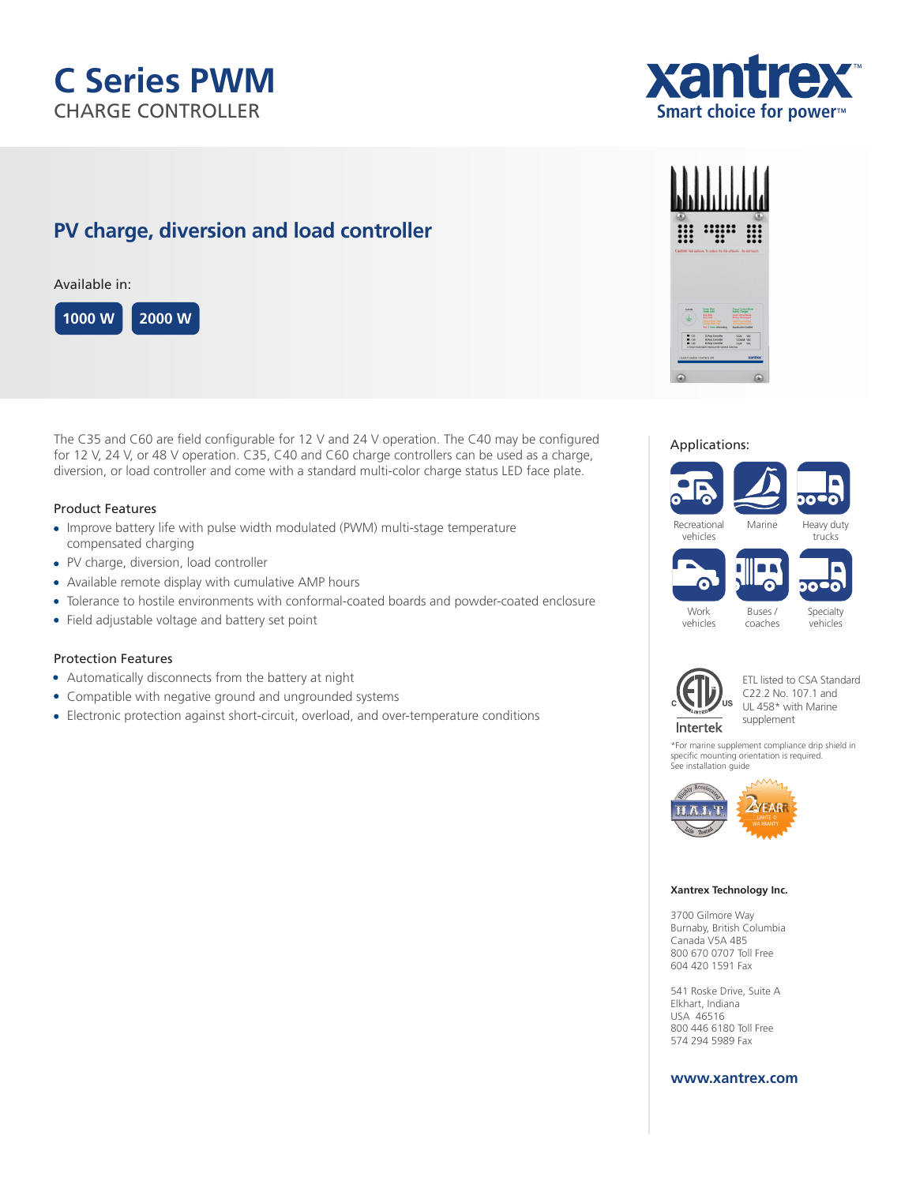# **C Series PWM** CHARGE CONTROLLER

# **PV charge, diversion and load controller**

Available in:



The C35 and C60 are field configurable for 12 V and 24 V operation. The C40 may be configured for 12 V, 24 V, or 48 V operation. C35, C40 and C60 charge controllers can be used as a charge, diversion, or load controller and come with a standard multi-color charge status LED face plate.

# Product Features

- Improve battery life with pulse width modulated (PWM) multi-stage temperature compensated charging
- PV charge, diversion, load controller
- Available remote display with cumulative AMP hours
- Tolerance to hostile environments with conformal-coated boards and powder-coated enclosure
- Field adjustable voltage and battery set point

## Protection Features

- Automatically disconnects from the battery at night
- Compatible with negative ground and ungrounded systems
- Electronic protection against short-circuit, overload, and over-temperature conditions



### Applications:



Buses / coaches

Work vehicles Specialty vehicles



ETL listed to CSA Standard C22.2 No. 107.1 and UL 458\* with Marine supplement

\*For marine supplement compliance drip shield in specific mounting orientation is required. See installation guide



#### **Xantrex Technology Inc.**

3700 Gilmore Way Burnaby, British Columbia Canada V5A 4B5 800 670 0707 Toll Free 604 420 1591 Fax

541 Roske Drive, Suite A Elkhart, Indiana USA 46516 800 446 6180 Toll Free 574 294 5989 Fax

# **www.xantrex.com**